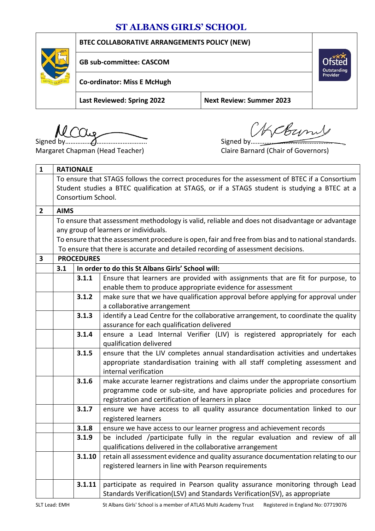## **ST ALBANS GIRLS' SCHOOL**

**BTEC COLLABORATIVE ARRANGEMENTS POLICY (NEW)**



**GB sub-committee: CASCOM**

**Co-ordinator: Miss E McHugh**

**Last Reviewed: Spring 2022 Next Review: Summer 2023**

Signed by……………………………………….. Signed by………………………………………..

Count

**Outstanding**<br>Provider

Margaret Chapman (Head Teacher) Claire Barnard (Chair of Governors)

| $\mathbf{1}$ | <b>RATIONALE</b>                                                                                    |        |                                                                                                   |  |  |
|--------------|-----------------------------------------------------------------------------------------------------|--------|---------------------------------------------------------------------------------------------------|--|--|
|              | To ensure that STAGS follows the correct procedures for the assessment of BTEC if a Consortium      |        |                                                                                                   |  |  |
|              | Student studies a BTEC qualification at STAGS, or if a STAGS student is studying a BTEC at a        |        |                                                                                                   |  |  |
|              | Consortium School.                                                                                  |        |                                                                                                   |  |  |
| $\mathbf{2}$ | <b>AIMS</b>                                                                                         |        |                                                                                                   |  |  |
|              | To ensure that assessment methodology is valid, reliable and does not disadvantage or advantage     |        |                                                                                                   |  |  |
|              | any group of learners or individuals.                                                               |        |                                                                                                   |  |  |
|              | To ensure that the assessment procedure is open, fair and free from bias and to national standards. |        |                                                                                                   |  |  |
|              | To ensure that there is accurate and detailed recording of assessment decisions.                    |        |                                                                                                   |  |  |
| 3            | <b>PROCEDURES</b>                                                                                   |        |                                                                                                   |  |  |
|              | In order to do this St Albans Girls' School will:<br>3.1                                            |        |                                                                                                   |  |  |
|              |                                                                                                     | 3.1.1  | Ensure that learners are provided with assignments that are fit for purpose, to                   |  |  |
|              |                                                                                                     |        | enable them to produce appropriate evidence for assessment                                        |  |  |
|              |                                                                                                     | 3.1.2  | make sure that we have qualification approval before applying for approval under                  |  |  |
|              |                                                                                                     |        | a collaborative arrangement                                                                       |  |  |
|              |                                                                                                     | 3.1.3  | identify a Lead Centre for the collaborative arrangement, to coordinate the quality               |  |  |
|              |                                                                                                     |        | assurance for each qualification delivered                                                        |  |  |
|              |                                                                                                     | 3.1.4  | ensure a Lead Internal Verifier (LIV) is registered appropriately for each                        |  |  |
|              |                                                                                                     |        | qualification delivered                                                                           |  |  |
|              |                                                                                                     | 3.1.5  | ensure that the LIV completes annual standardisation activities and undertakes                    |  |  |
|              |                                                                                                     |        | appropriate standardisation training with all staff completing assessment and                     |  |  |
|              |                                                                                                     |        | internal verification                                                                             |  |  |
|              |                                                                                                     | 3.1.6  | make accurate learner registrations and claims under the appropriate consortium                   |  |  |
|              |                                                                                                     |        | programme code or sub-site, and have appropriate policies and procedures for                      |  |  |
|              |                                                                                                     | 3.1.7  | registration and certification of learners in place                                               |  |  |
|              |                                                                                                     |        | ensure we have access to all quality assurance documentation linked to our<br>registered learners |  |  |
|              |                                                                                                     | 3.1.8  | ensure we have access to our learner progress and achievement records                             |  |  |
|              |                                                                                                     | 3.1.9  | be included /participate fully in the regular evaluation and review of all                        |  |  |
|              |                                                                                                     |        | qualifications delivered in the collaborative arrangement                                         |  |  |
|              |                                                                                                     | 3.1.10 | retain all assessment evidence and quality assurance documentation relating to our                |  |  |
|              |                                                                                                     |        | registered learners in line with Pearson requirements                                             |  |  |
|              |                                                                                                     |        |                                                                                                   |  |  |
|              |                                                                                                     | 3.1.11 | participate as required in Pearson quality assurance monitoring through Lead                      |  |  |
|              |                                                                                                     |        | Standards Verification(LSV) and Standards Verification(SV), as appropriate                        |  |  |
|              |                                                                                                     |        |                                                                                                   |  |  |